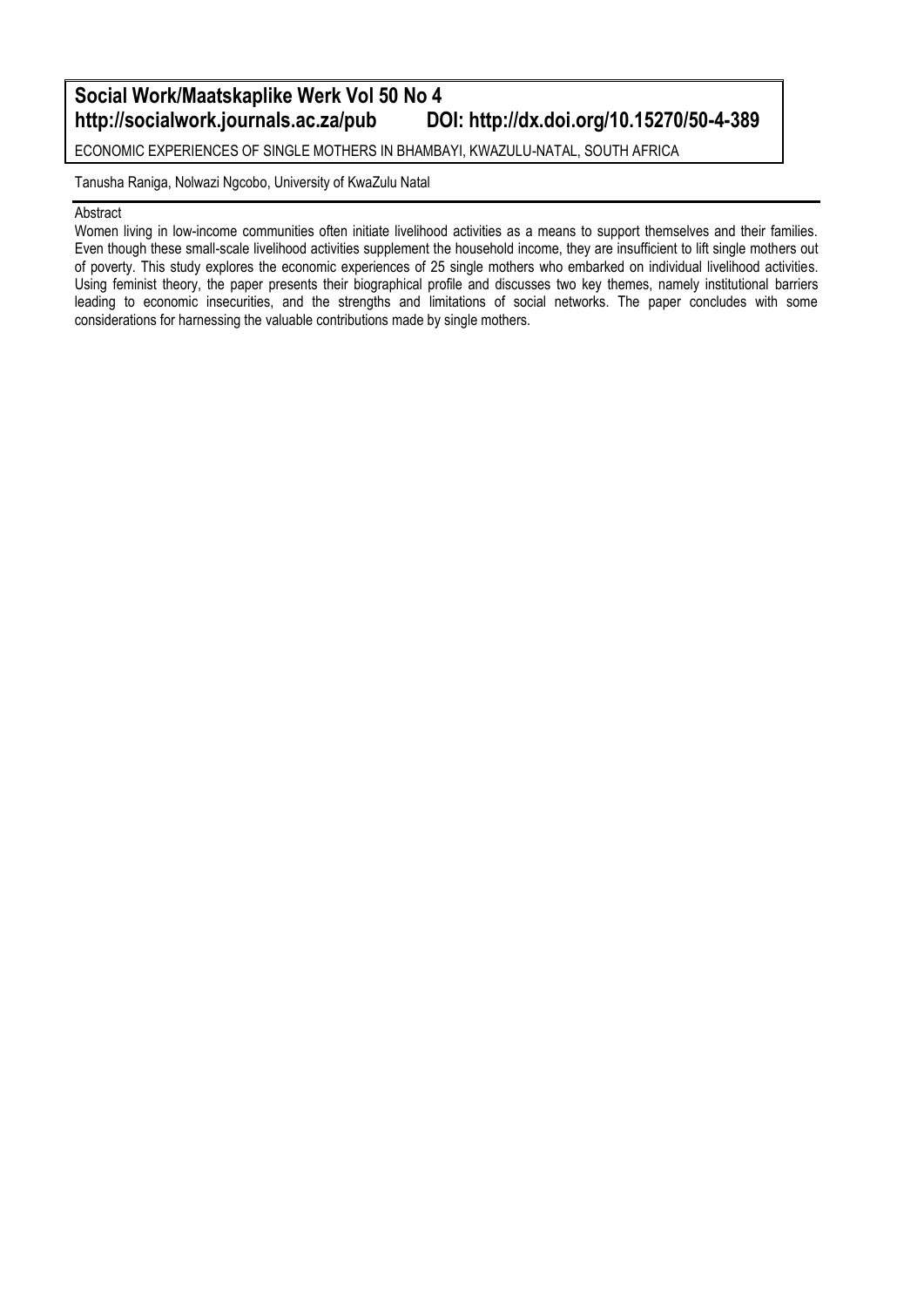### **Social Work/Maatskaplike Werk Vol 50 No 4 http://dx.doi.org/10.15270/50-4-389**

ECONOMIC EXPERIENCES OF SINGLE MOTHERS IN BHAMBAYI, KWAZULU-NATAL, SOUTH AFRICA

Tanusha Raniga, Nolwazi Ngcobo, University of KwaZulu Natal

#### Abstract

Women living in low-income communities often initiate livelihood activities as a means to support themselves and their families. Even though these small-scale livelihood activities supplement the household income, they are insufficient to lift single mothers out of poverty. This study explores the economic experiences of 25 single mothers who embarked on individual livelihood activities. Using feminist theory, the paper presents their biographical profile and discusses two key themes, namely institutional barriers leading to economic insecurities, and the strengths and limitations of social networks. The paper concludes with some considerations for harnessing the valuable contributions made by single mothers.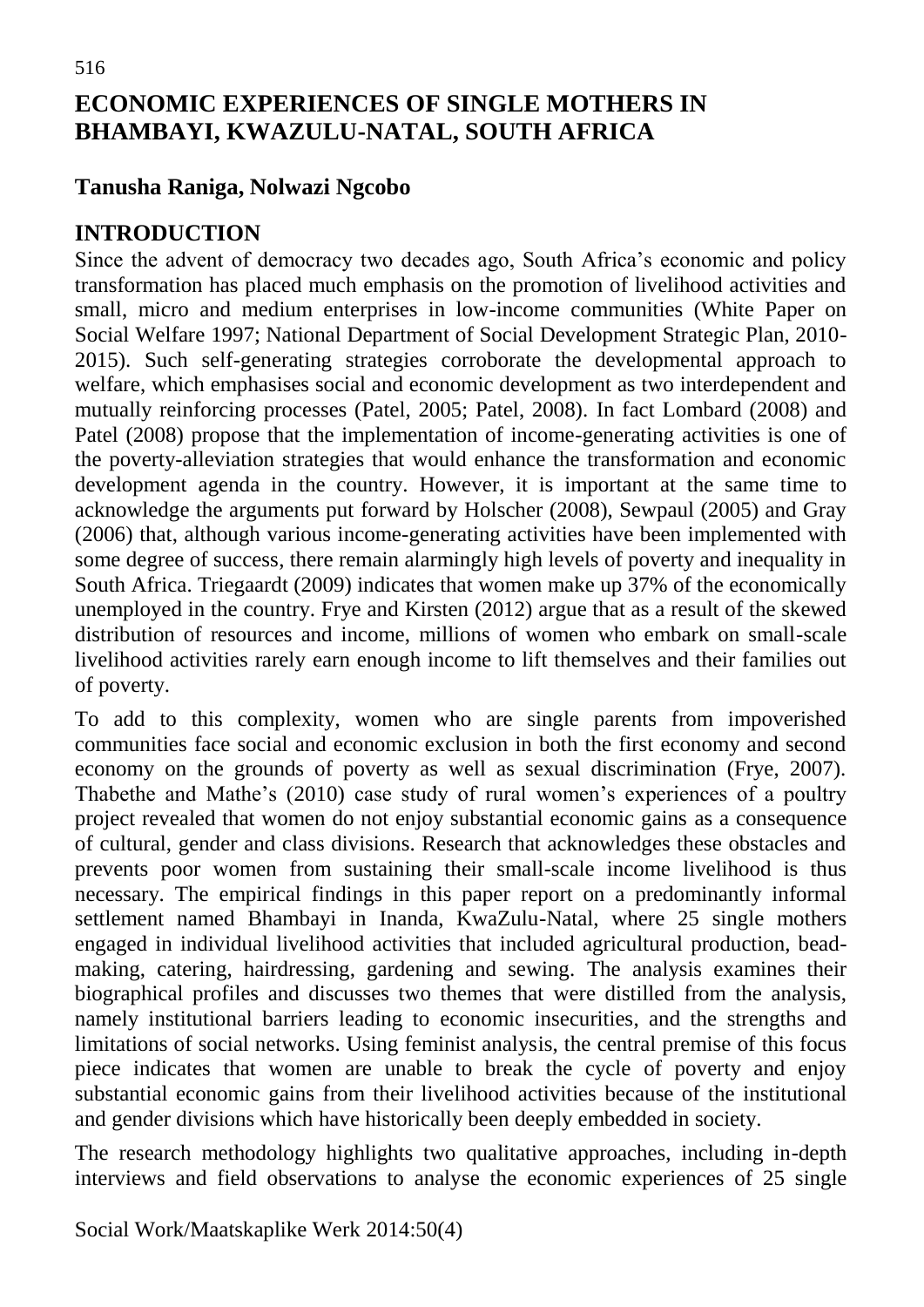# **ECONOMIC EXPERIENCES OF SINGLE MOTHERS IN BHAMBAYI, KWAZULU-NATAL, SOUTH AFRICA**

## **Tanusha Raniga, Nolwazi Ngcobo**

### **INTRODUCTION**

Since the advent of democracy two decades ago, South Africa's economic and policy transformation has placed much emphasis on the promotion of livelihood activities and small, micro and medium enterprises in low-income communities (White Paper on Social Welfare 1997; National Department of Social Development Strategic Plan, 2010- 2015). Such self-generating strategies corroborate the developmental approach to welfare, which emphasises social and economic development as two interdependent and mutually reinforcing processes (Patel, 2005; Patel, 2008). In fact Lombard (2008) and Patel (2008) propose that the implementation of income-generating activities is one of the poverty-alleviation strategies that would enhance the transformation and economic development agenda in the country. However, it is important at the same time to acknowledge the arguments put forward by Holscher (2008), Sewpaul (2005) and Gray (2006) that, although various income-generating activities have been implemented with some degree of success, there remain alarmingly high levels of poverty and inequality in South Africa. Triegaardt (2009) indicates that women make up 37% of the economically unemployed in the country. Frye and Kirsten (2012) argue that as a result of the skewed distribution of resources and income, millions of women who embark on small-scale livelihood activities rarely earn enough income to lift themselves and their families out of poverty.

To add to this complexity, women who are single parents from impoverished communities face social and economic exclusion in both the first economy and second economy on the grounds of poverty as well as sexual discrimination (Frye, 2007). Thabethe and Mathe's (2010) case study of rural women's experiences of a poultry project revealed that women do not enjoy substantial economic gains as a consequence of cultural, gender and class divisions. Research that acknowledges these obstacles and prevents poor women from sustaining their small-scale income livelihood is thus necessary. The empirical findings in this paper report on a predominantly informal settlement named Bhambayi in Inanda, KwaZulu-Natal, where 25 single mothers engaged in individual livelihood activities that included agricultural production, beadmaking, catering, hairdressing, gardening and sewing. The analysis examines their biographical profiles and discusses two themes that were distilled from the analysis, namely institutional barriers leading to economic insecurities, and the strengths and limitations of social networks. Using feminist analysis, the central premise of this focus piece indicates that women are unable to break the cycle of poverty and enjoy substantial economic gains from their livelihood activities because of the institutional and gender divisions which have historically been deeply embedded in society.

The research methodology highlights two qualitative approaches, including in-depth interviews and field observations to analyse the economic experiences of 25 single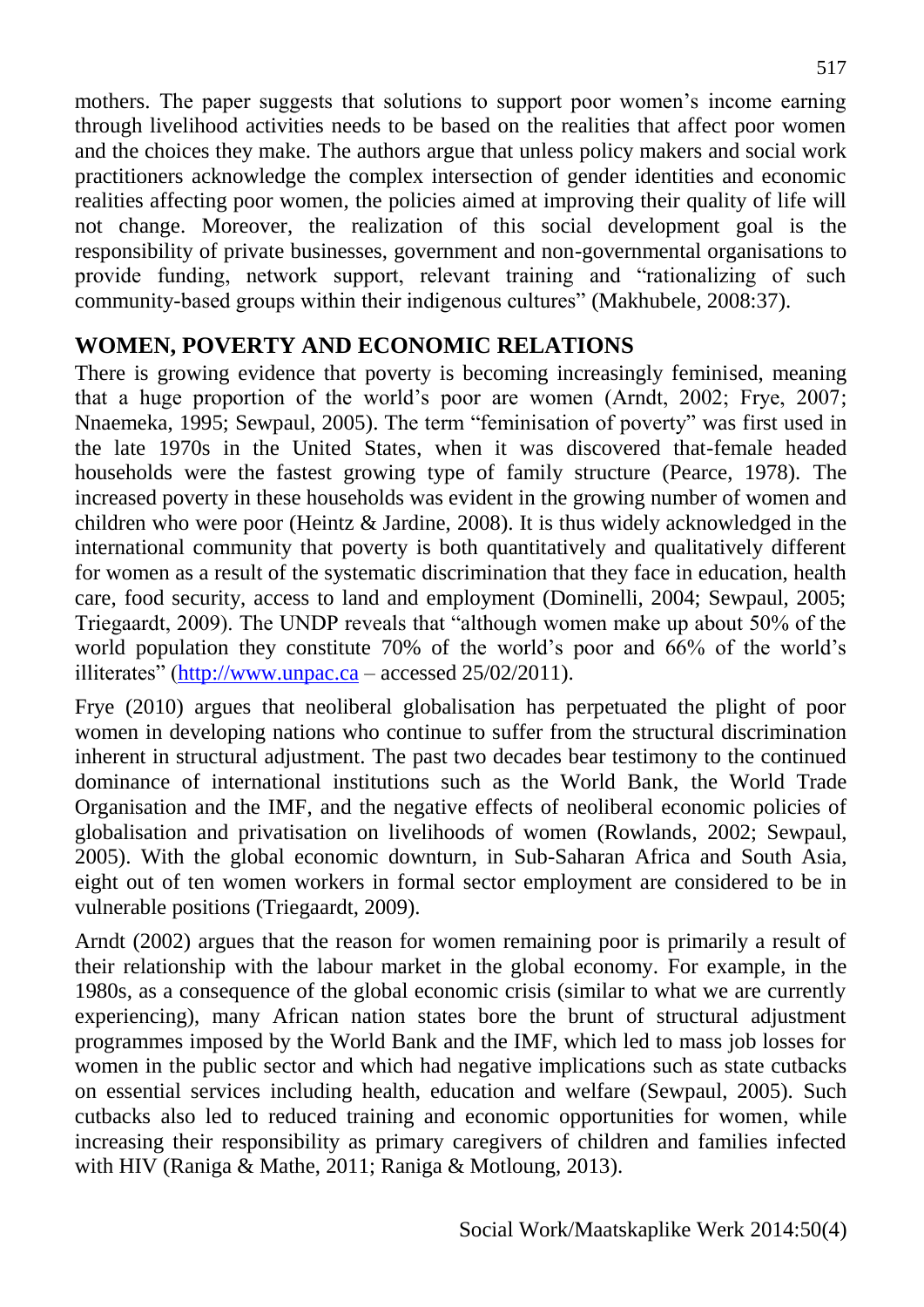mothers. The paper suggests that solutions to support poor women's income earning through livelihood activities needs to be based on the realities that affect poor women and the choices they make. The authors argue that unless policy makers and social work practitioners acknowledge the complex intersection of gender identities and economic realities affecting poor women, the policies aimed at improving their quality of life will not change. Moreover, the realization of this social development goal is the responsibility of private businesses, government and non-governmental organisations to provide funding, network support, relevant training and "rationalizing of such community-based groups within their indigenous cultures" (Makhubele, 2008:37).

# **WOMEN, POVERTY AND ECONOMIC RELATIONS**

There is growing evidence that poverty is becoming increasingly feminised, meaning that a huge proportion of the world's poor are women (Arndt, 2002; Frye, 2007; Nnaemeka, 1995; Sewpaul, 2005). The term "feminisation of poverty" was first used in the late 1970s in the United States, when it was discovered that-female headed households were the fastest growing type of family structure (Pearce, 1978). The increased poverty in these households was evident in the growing number of women and children who were poor (Heintz & Jardine, 2008). It is thus widely acknowledged in the international community that poverty is both quantitatively and qualitatively different for women as a result of the systematic discrimination that they face in education, health care, food security, access to land and employment (Dominelli, 2004; Sewpaul, 2005; Triegaardt, 2009). The UNDP reveals that "although women make up about 50% of the world population they constitute 70% of the world's poor and 66% of the world's illiterates" [\(http://www.unpac.ca](http://www.unpac.ca/) – accessed 25/02/2011).

Frye (2010) argues that neoliberal globalisation has perpetuated the plight of poor women in developing nations who continue to suffer from the structural discrimination inherent in structural adjustment. The past two decades bear testimony to the continued dominance of international institutions such as the World Bank, the World Trade Organisation and the IMF, and the negative effects of neoliberal economic policies of globalisation and privatisation on livelihoods of women (Rowlands, 2002; Sewpaul, 2005). With the global economic downturn, in Sub-Saharan Africa and South Asia, eight out of ten women workers in formal sector employment are considered to be in vulnerable positions (Triegaardt, 2009).

Arndt (2002) argues that the reason for women remaining poor is primarily a result of their relationship with the labour market in the global economy. For example, in the 1980s, as a consequence of the global economic crisis (similar to what we are currently experiencing), many African nation states bore the brunt of structural adjustment programmes imposed by the World Bank and the IMF, which led to mass job losses for women in the public sector and which had negative implications such as state cutbacks on essential services including health, education and welfare (Sewpaul, 2005). Such cutbacks also led to reduced training and economic opportunities for women, while increasing their responsibility as primary caregivers of children and families infected with HIV (Raniga & Mathe, 2011; Raniga & Motloung, 2013).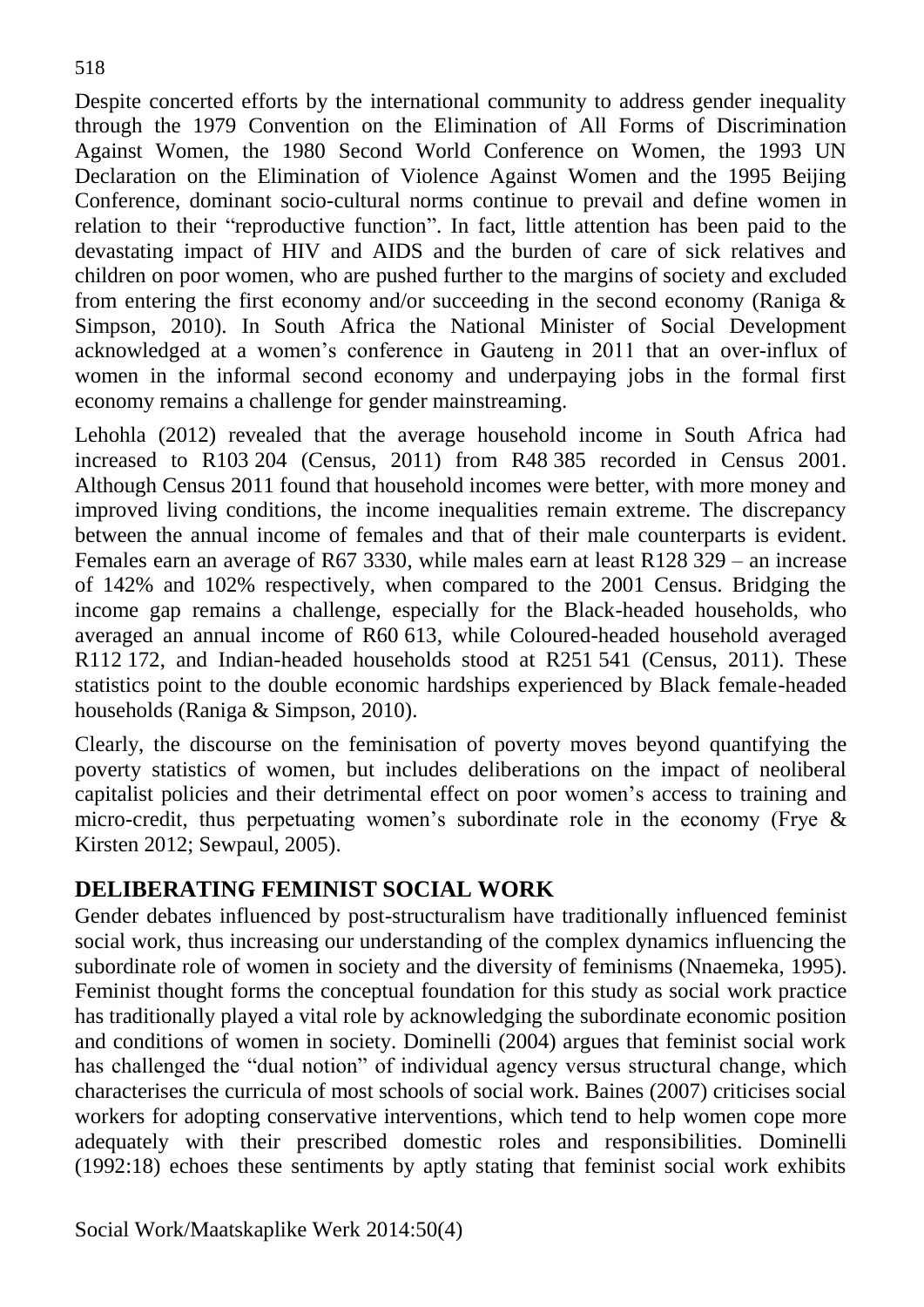Despite concerted efforts by the international community to address gender inequality through the 1979 Convention on the Elimination of All Forms of Discrimination Against Women, the 1980 Second World Conference on Women, the 1993 UN Declaration on the Elimination of Violence Against Women and the 1995 Beijing Conference, dominant socio-cultural norms continue to prevail and define women in relation to their "reproductive function". In fact, little attention has been paid to the devastating impact of HIV and AIDS and the burden of care of sick relatives and children on poor women, who are pushed further to the margins of society and excluded from entering the first economy and/or succeeding in the second economy (Raniga & Simpson, 2010). In South Africa the National Minister of Social Development acknowledged at a women's conference in Gauteng in 2011 that an over-influx of women in the informal second economy and underpaying jobs in the formal first economy remains a challenge for gender mainstreaming.

Lehohla (2012) revealed that the average household income in South Africa had increased to R103 204 (Census, 2011) from R48 385 recorded in Census 2001. Although Census 2011 found that household incomes were better, with more money and improved living conditions, the income inequalities remain extreme. The discrepancy between the annual income of females and that of their male counterparts is evident. Females earn an average of R67 3330, while males earn at least R128 329 – an increase of 142% and 102% respectively, when compared to the 2001 Census. Bridging the income gap remains a challenge, especially for the Black-headed households, who averaged an annual income of R60 613, while Coloured-headed household averaged R112 172, and Indian-headed households stood at R251 541 (Census, 2011). These statistics point to the double economic hardships experienced by Black female-headed households (Raniga & Simpson, 2010).

Clearly, the discourse on the feminisation of poverty moves beyond quantifying the poverty statistics of women, but includes deliberations on the impact of neoliberal capitalist policies and their detrimental effect on poor women's access to training and micro-credit, thus perpetuating women's subordinate role in the economy (Frye & Kirsten 2012; Sewpaul, 2005).

### **DELIBERATING FEMINIST SOCIAL WORK**

Gender debates influenced by post-structuralism have traditionally influenced feminist social work, thus increasing our understanding of the complex dynamics influencing the subordinate role of women in society and the diversity of feminisms (Nnaemeka, 1995). Feminist thought forms the conceptual foundation for this study as social work practice has traditionally played a vital role by acknowledging the subordinate economic position and conditions of women in society. Dominelli (2004) argues that feminist social work has challenged the "dual notion" of individual agency versus structural change, which characterises the curricula of most schools of social work. Baines (2007) criticises social workers for adopting conservative interventions, which tend to help women cope more adequately with their prescribed domestic roles and responsibilities. Dominelli (1992:18) echoes these sentiments by aptly stating that feminist social work exhibits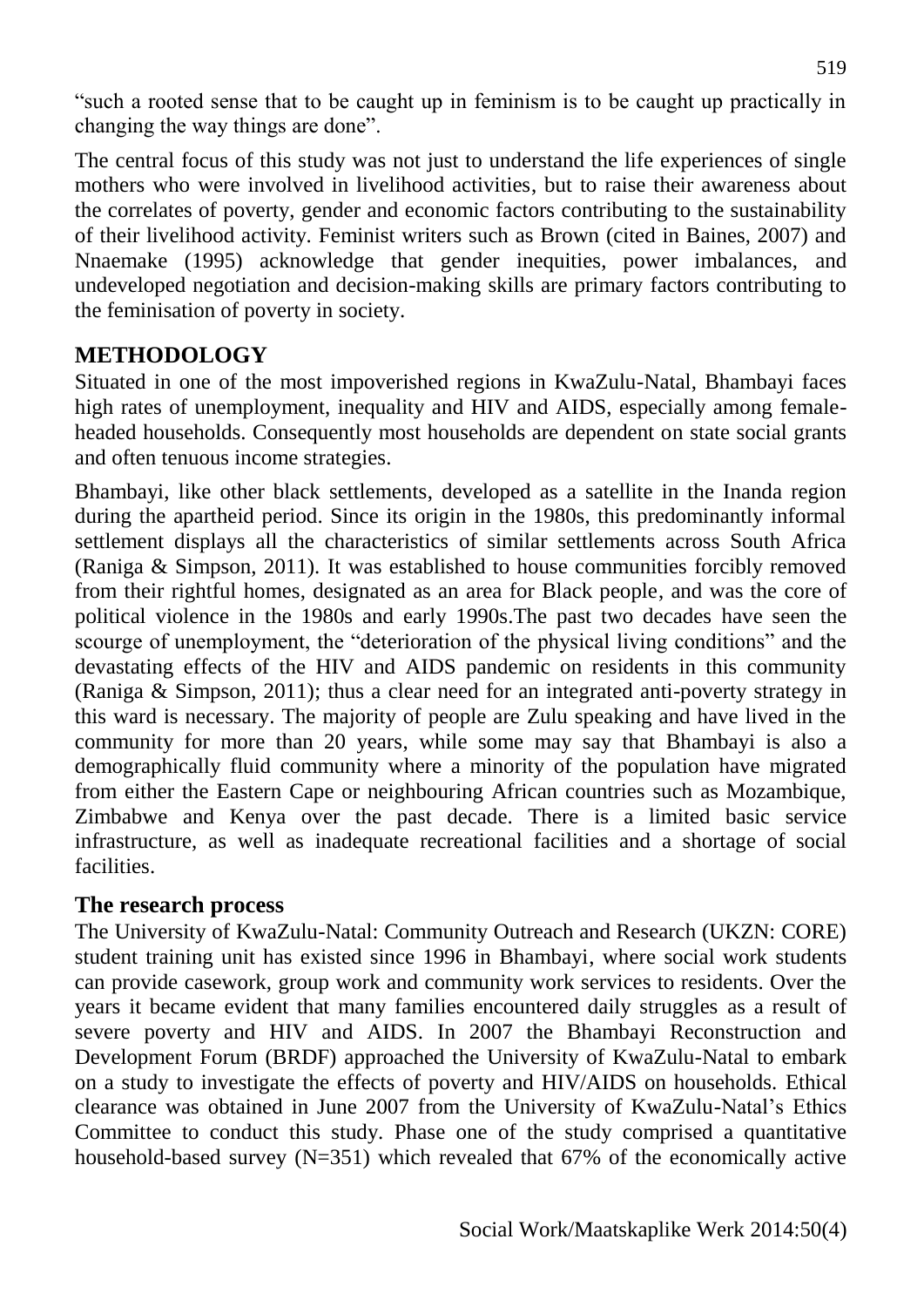"such a rooted sense that to be caught up in feminism is to be caught up practically in changing the way things are done".

The central focus of this study was not just to understand the life experiences of single mothers who were involved in livelihood activities, but to raise their awareness about the correlates of poverty, gender and economic factors contributing to the sustainability of their livelihood activity. Feminist writers such as Brown (cited in Baines, 2007) and Nnaemake (1995) acknowledge that gender inequities, power imbalances, and undeveloped negotiation and decision-making skills are primary factors contributing to the feminisation of poverty in society.

### **METHODOLOGY**

Situated in one of the most impoverished regions in KwaZulu-Natal, Bhambayi faces high rates of unemployment, inequality and HIV and AIDS, especially among femaleheaded households. Consequently most households are dependent on state social grants and often tenuous income strategies.

Bhambayi, like other black settlements, developed as a satellite in the Inanda region during the apartheid period. Since its origin in the 1980s, this predominantly informal settlement displays all the characteristics of similar settlements across South Africa (Raniga & Simpson, 2011). It was established to house communities forcibly removed from their rightful homes, designated as an area for Black people, and was the core of political violence in the 1980s and early 1990s.The past two decades have seen the scourge of unemployment, the "deterioration of the physical living conditions" and the devastating effects of the HIV and AIDS pandemic on residents in this community (Raniga & Simpson, 2011); thus a clear need for an integrated anti-poverty strategy in this ward is necessary. The majority of people are Zulu speaking and have lived in the community for more than 20 years, while some may say that Bhambayi is also a demographically fluid community where a minority of the population have migrated from either the Eastern Cape or neighbouring African countries such as Mozambique, Zimbabwe and Kenya over the past decade. There is a limited basic service infrastructure, as well as inadequate recreational facilities and a shortage of social facilities.

### **The research process**

The University of KwaZulu-Natal: Community Outreach and Research (UKZN: CORE) student training unit has existed since 1996 in Bhambayi, where social work students can provide casework, group work and community work services to residents. Over the years it became evident that many families encountered daily struggles as a result of severe poverty and HIV and AIDS. In 2007 the Bhambayi Reconstruction and Development Forum (BRDF) approached the University of KwaZulu-Natal to embark on a study to investigate the effects of poverty and HIV/AIDS on households. Ethical clearance was obtained in June 2007 from the University of KwaZulu-Natal's Ethics Committee to conduct this study. Phase one of the study comprised a quantitative household-based survey (N=351) which revealed that 67% of the economically active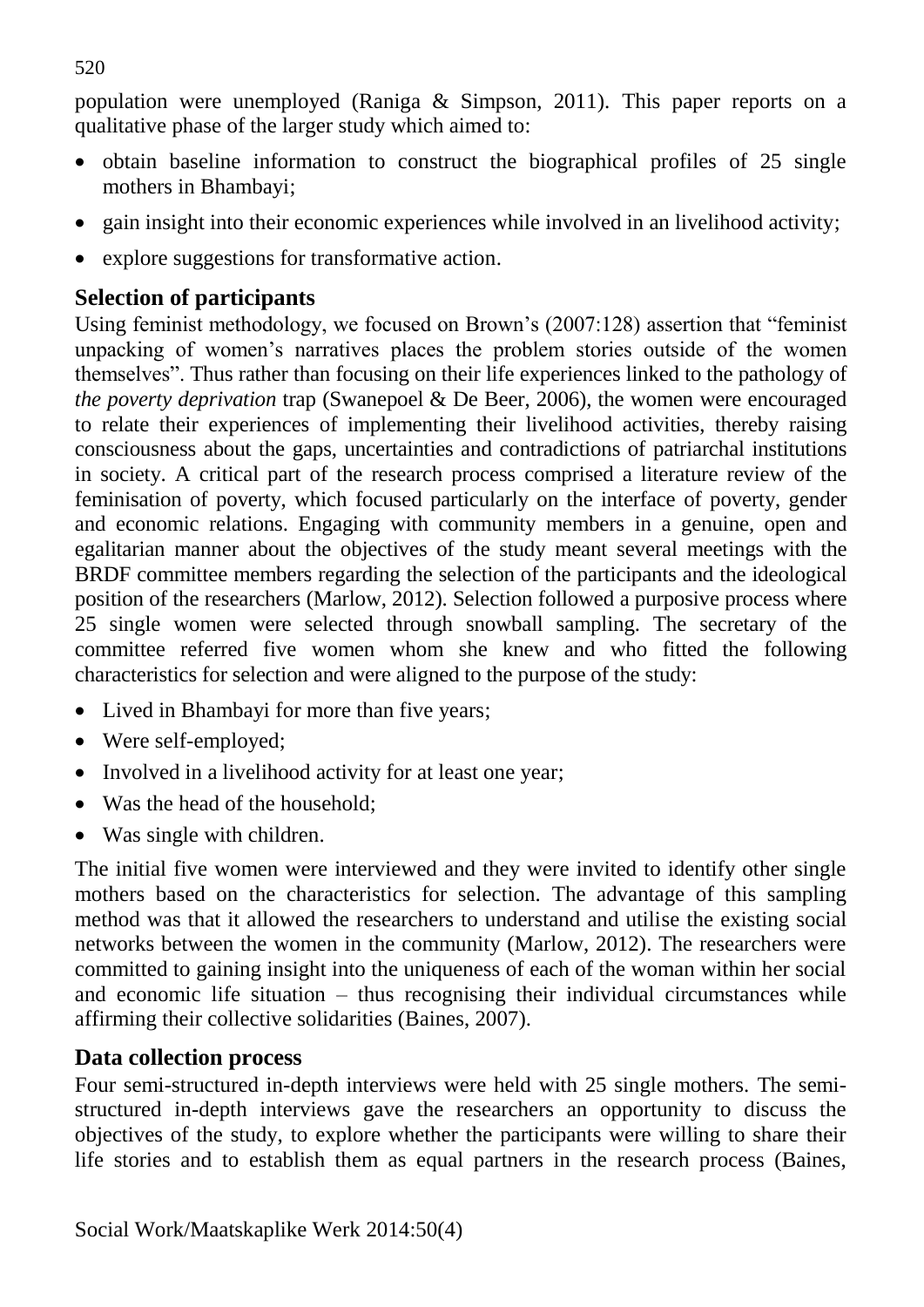population were unemployed (Raniga & Simpson, 2011). This paper reports on a qualitative phase of the larger study which aimed to:

- obtain baseline information to construct the biographical profiles of 25 single mothers in Bhambayi;
- gain insight into their economic experiences while involved in an livelihood activity;
- explore suggestions for transformative action.

# **Selection of participants**

Using feminist methodology, we focused on Brown's (2007:128) assertion that "feminist unpacking of women's narratives places the problem stories outside of the women themselves". Thus rather than focusing on their life experiences linked to the pathology of *the poverty deprivation* trap (Swanepoel & De Beer, 2006), the women were encouraged to relate their experiences of implementing their livelihood activities, thereby raising consciousness about the gaps, uncertainties and contradictions of patriarchal institutions in society. A critical part of the research process comprised a literature review of the feminisation of poverty, which focused particularly on the interface of poverty, gender and economic relations. Engaging with community members in a genuine, open and egalitarian manner about the objectives of the study meant several meetings with the BRDF committee members regarding the selection of the participants and the ideological position of the researchers (Marlow, 2012). Selection followed a purposive process where 25 single women were selected through snowball sampling. The secretary of the committee referred five women whom she knew and who fitted the following characteristics for selection and were aligned to the purpose of the study:

- Lived in Bhambayi for more than five years;
- Were self-employed;
- Involved in a livelihood activity for at least one year;
- Was the head of the household;
- Was single with children.

The initial five women were interviewed and they were invited to identify other single mothers based on the characteristics for selection. The advantage of this sampling method was that it allowed the researchers to understand and utilise the existing social networks between the women in the community (Marlow, 2012). The researchers were committed to gaining insight into the uniqueness of each of the woman within her social and economic life situation – thus recognising their individual circumstances while affirming their collective solidarities (Baines, 2007).

## **Data collection process**

Four semi-structured in-depth interviews were held with 25 single mothers. The semistructured in-depth interviews gave the researchers an opportunity to discuss the objectives of the study, to explore whether the participants were willing to share their life stories and to establish them as equal partners in the research process (Baines,

520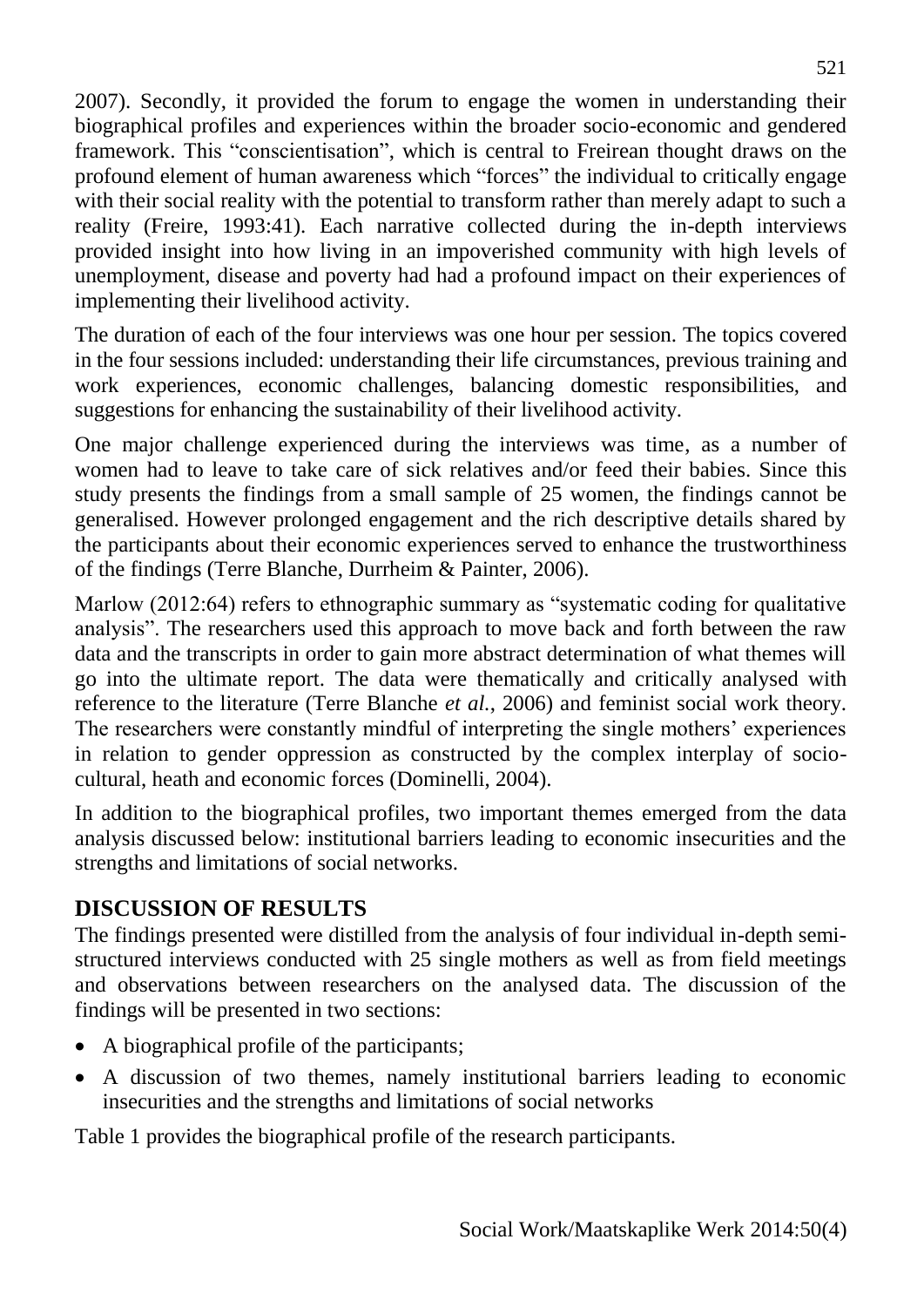2007). Secondly, it provided the forum to engage the women in understanding their biographical profiles and experiences within the broader socio-economic and gendered framework. This "conscientisation", which is central to Freirean thought draws on the profound element of human awareness which "forces" the individual to critically engage with their social reality with the potential to transform rather than merely adapt to such a reality (Freire, 1993:41). Each narrative collected during the in-depth interviews provided insight into how living in an impoverished community with high levels of unemployment, disease and poverty had had a profound impact on their experiences of implementing their livelihood activity.

The duration of each of the four interviews was one hour per session. The topics covered in the four sessions included: understanding their life circumstances, previous training and work experiences, economic challenges, balancing domestic responsibilities, and suggestions for enhancing the sustainability of their livelihood activity.

One major challenge experienced during the interviews was time, as a number of women had to leave to take care of sick relatives and/or feed their babies. Since this study presents the findings from a small sample of 25 women, the findings cannot be generalised. However prolonged engagement and the rich descriptive details shared by the participants about their economic experiences served to enhance the trustworthiness of the findings (Terre Blanche, Durrheim & Painter, 2006).

Marlow (2012:64) refers to ethnographic summary as "systematic coding for qualitative analysis". The researchers used this approach to move back and forth between the raw data and the transcripts in order to gain more abstract determination of what themes will go into the ultimate report. The data were thematically and critically analysed with reference to the literature (Terre Blanche *et al.*, 2006) and feminist social work theory. The researchers were constantly mindful of interpreting the single mothers' experiences in relation to gender oppression as constructed by the complex interplay of sociocultural, heath and economic forces (Dominelli, 2004).

In addition to the biographical profiles, two important themes emerged from the data analysis discussed below: institutional barriers leading to economic insecurities and the strengths and limitations of social networks.

## **DISCUSSION OF RESULTS**

The findings presented were distilled from the analysis of four individual in-depth semistructured interviews conducted with 25 single mothers as well as from field meetings and observations between researchers on the analysed data. The discussion of the findings will be presented in two sections:

- A biographical profile of the participants;
- A discussion of two themes, namely institutional barriers leading to economic insecurities and the strengths and limitations of social networks

Table 1 provides the biographical profile of the research participants.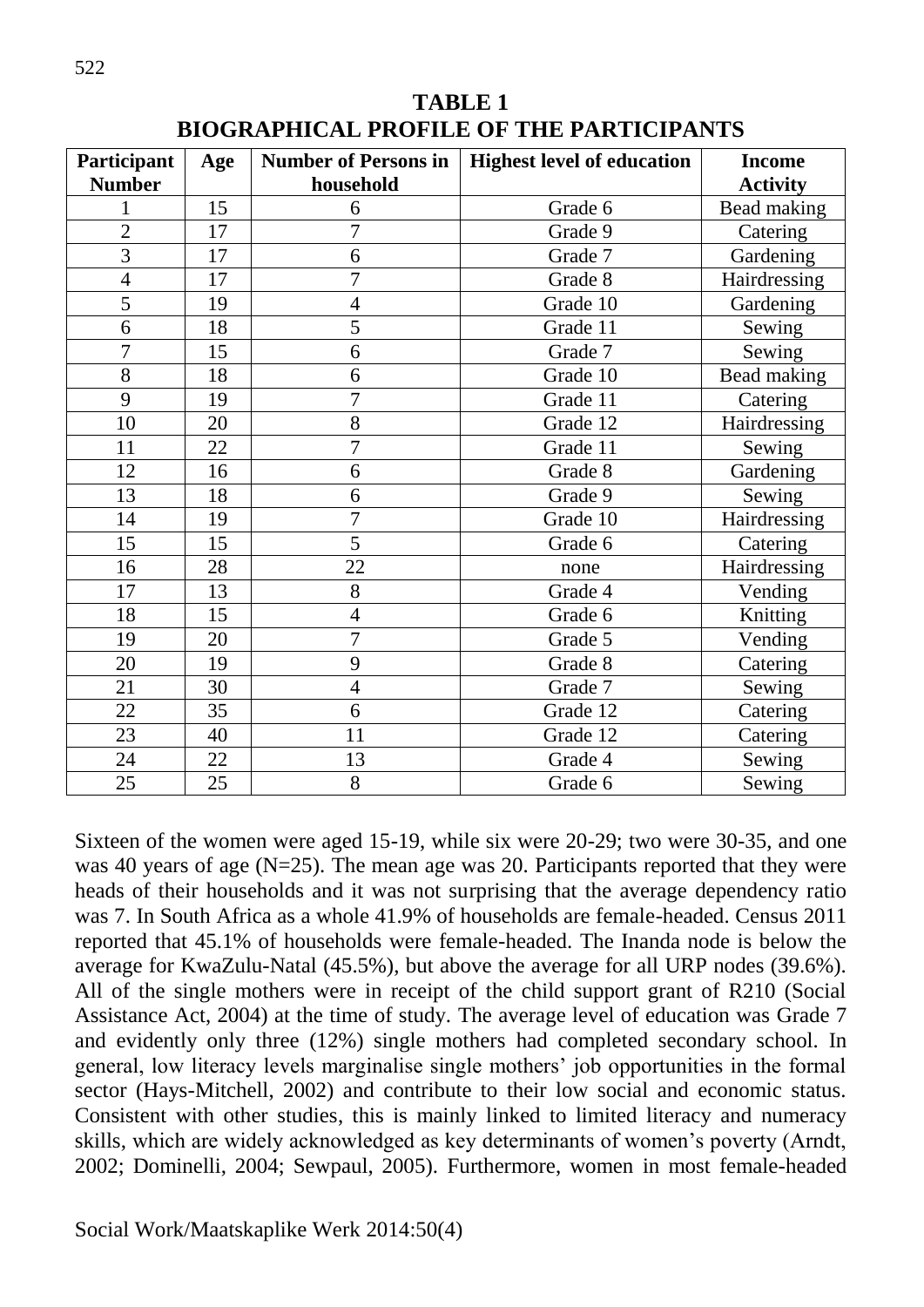| Participant    | Age | <b>Number of Persons in</b> | <b>Highest level of education</b> | <b>Income</b>      |
|----------------|-----|-----------------------------|-----------------------------------|--------------------|
| <b>Number</b>  |     | household                   |                                   | <b>Activity</b>    |
|                | 15  | 6                           | Grade 6                           | Bead making        |
| $\overline{2}$ | 17  | $\overline{7}$              | Grade 9                           | Catering           |
| 3              | 17  | 6                           | Grade 7                           | Gardening          |
| $\overline{4}$ | 17  | $\overline{7}$              | Grade 8                           | Hairdressing       |
| $\overline{5}$ | 19  | $\overline{4}$              | Grade 10                          | Gardening          |
| 6              | 18  | $\overline{5}$              | Grade 11                          | Sewing             |
| $\overline{7}$ | 15  | 6                           | Grade 7                           | Sewing             |
| 8              | 18  | 6                           | Grade 10                          | <b>Bead making</b> |
| 9              | 19  | $\overline{7}$              | Grade 11                          | Catering           |
| 10             | 20  | 8                           | Grade 12                          | Hairdressing       |
| 11             | 22  | $\overline{7}$              | Grade 11                          | Sewing             |
| 12             | 16  | 6                           | Grade 8                           | Gardening          |
| 13             | 18  | 6                           | Grade 9                           | Sewing             |
| 14             | 19  | $\overline{7}$              | Grade 10                          | Hairdressing       |
| 15             | 15  | 5                           | Grade 6                           | Catering           |
| 16             | 28  | 22                          | none                              | Hairdressing       |
| 17             | 13  | 8                           | Grade 4                           | Vending            |
| 18             | 15  | $\overline{4}$              | Grade 6                           | Knitting           |
| 19             | 20  | $\overline{7}$              | Grade 5                           | Vending            |
| 20             | 19  | 9                           | Grade 8                           | Catering           |
| 21             | 30  | $\overline{4}$              | Grade 7                           | Sewing             |
| 22             | 35  | 6                           | Grade 12                          | Catering           |
| 23             | 40  | 11                          | Grade 12                          | Catering           |
| 24             | 22  | 13                          | Grade 4                           | Sewing             |
| 25             | 25  | 8                           | Grade 6                           | Sewing             |

**TABLE 1 BIOGRAPHICAL PROFILE OF THE PARTICIPANTS**

Sixteen of the women were aged 15-19, while six were 20-29; two were 30-35, and one was 40 years of age (N=25). The mean age was 20. Participants reported that they were heads of their households and it was not surprising that the average dependency ratio was 7. In South Africa as a whole 41.9% of households are female-headed. Census 2011 reported that 45.1% of households were female-headed. The Inanda node is below the average for KwaZulu-Natal (45.5%), but above the average for all URP nodes (39.6%). All of the single mothers were in receipt of the child support grant of R210 (Social Assistance Act, 2004) at the time of study. The average level of education was Grade 7 and evidently only three (12%) single mothers had completed secondary school. In general, low literacy levels marginalise single mothers' job opportunities in the formal sector (Hays-Mitchell, 2002) and contribute to their low social and economic status. Consistent with other studies, this is mainly linked to limited literacy and numeracy skills, which are widely acknowledged as key determinants of women's poverty (Arndt, 2002; Dominelli, 2004; Sewpaul, 2005). Furthermore, women in most female-headed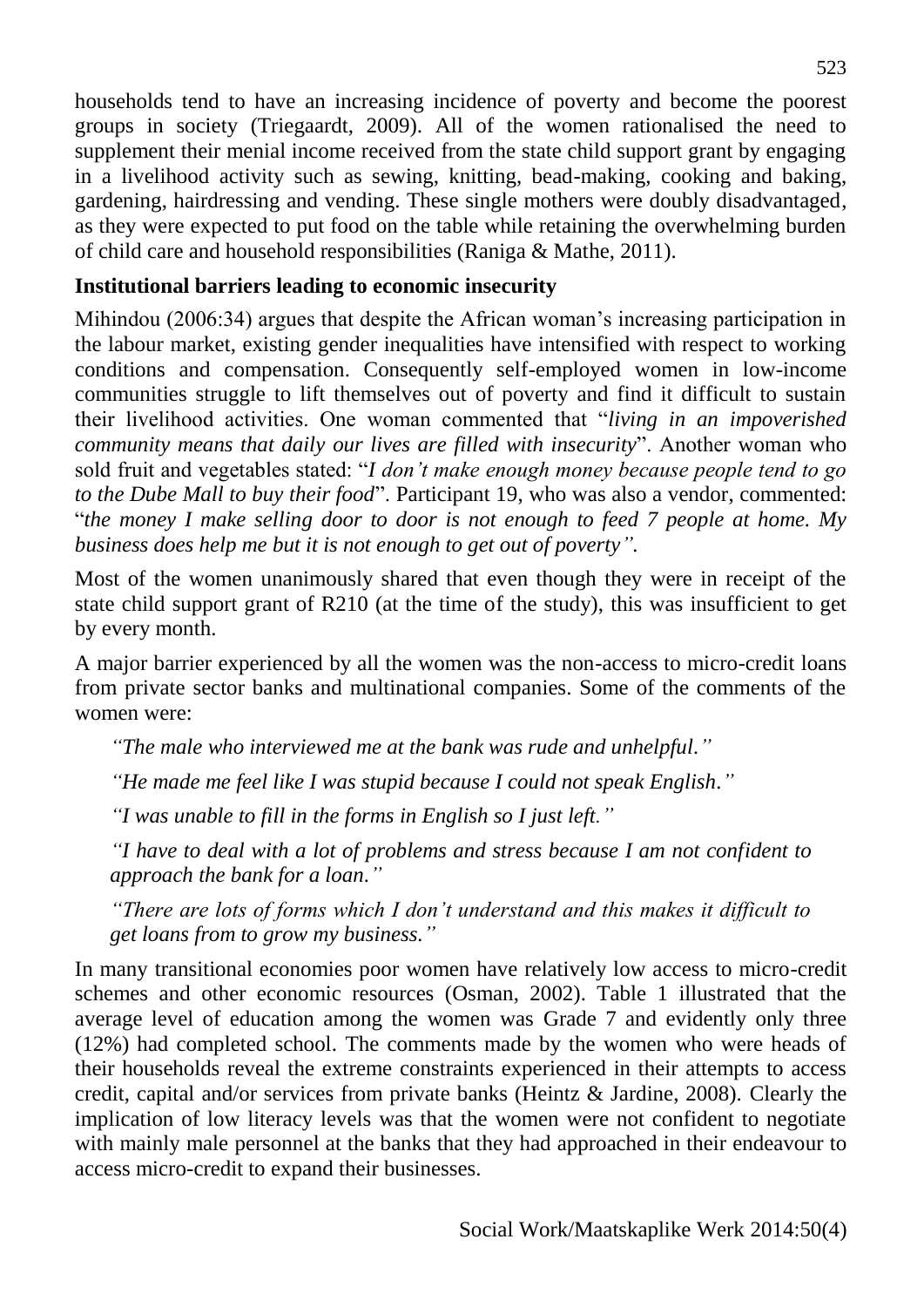households tend to have an increasing incidence of poverty and become the poorest groups in society (Triegaardt, 2009). All of the women rationalised the need to supplement their menial income received from the state child support grant by engaging in a livelihood activity such as sewing, knitting, bead-making, cooking and baking, gardening, hairdressing and vending. These single mothers were doubly disadvantaged, as they were expected to put food on the table while retaining the overwhelming burden of child care and household responsibilities (Raniga & Mathe, 2011).

### **Institutional barriers leading to economic insecurity**

Mihindou (2006:34) argues that despite the African woman's increasing participation in the labour market, existing gender inequalities have intensified with respect to working conditions and compensation. Consequently self-employed women in low-income communities struggle to lift themselves out of poverty and find it difficult to sustain their livelihood activities. One woman commented that "*living in an impoverished community means that daily our lives are filled with insecurity*". Another woman who sold fruit and vegetables stated: "*I don't make enough money because people tend to go to the Dube Mall to buy their food*". Participant 19, who was also a vendor, commented: "*the money I make selling door to door is not enough to feed 7 people at home. My business does help me but it is not enough to get out of poverty".*

Most of the women unanimously shared that even though they were in receipt of the state child support grant of R210 (at the time of the study), this was insufficient to get by every month.

A major barrier experienced by all the women was the non-access to micro-credit loans from private sector banks and multinational companies. Some of the comments of the women were:

*"The male who interviewed me at the bank was rude and unhelpful."* 

*"He made me feel like I was stupid because I could not speak English."*

*"I was unable to fill in the forms in English so I just left."*

*"I have to deal with a lot of problems and stress because I am not confident to approach the bank for a loan."*

*"There are lots of forms which I don't understand and this makes it difficult to get loans from to grow my business."*

In many transitional economies poor women have relatively low access to micro-credit schemes and other economic resources (Osman, 2002). Table 1 illustrated that the average level of education among the women was Grade 7 and evidently only three (12%) had completed school. The comments made by the women who were heads of their households reveal the extreme constraints experienced in their attempts to access credit, capital and/or services from private banks (Heintz & Jardine, 2008). Clearly the implication of low literacy levels was that the women were not confident to negotiate with mainly male personnel at the banks that they had approached in their endeavour to access micro-credit to expand their businesses.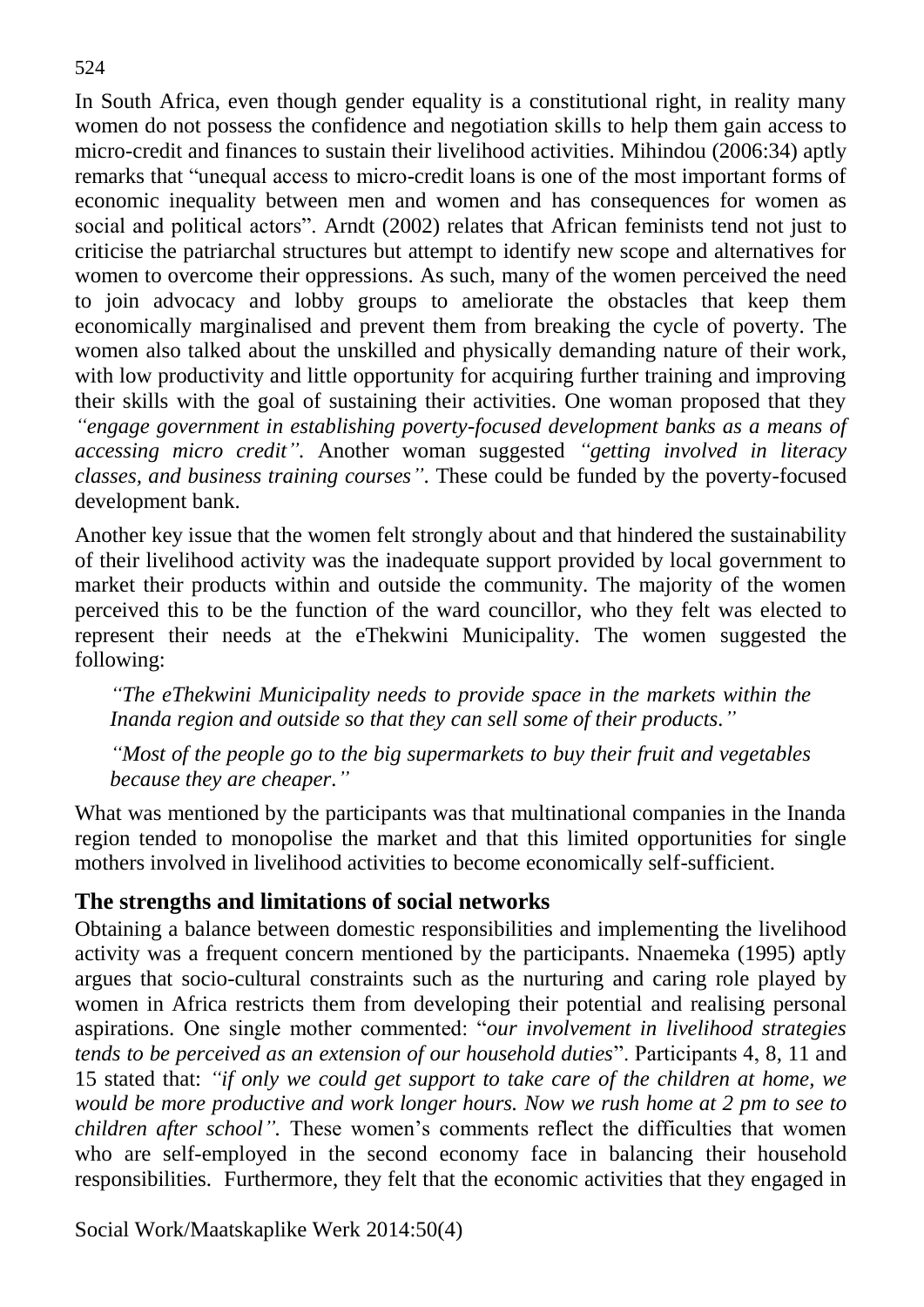In South Africa, even though gender equality is a constitutional right, in reality many women do not possess the confidence and negotiation skills to help them gain access to micro-credit and finances to sustain their livelihood activities. Mihindou (2006:34) aptly remarks that "unequal access to micro-credit loans is one of the most important forms of economic inequality between men and women and has consequences for women as social and political actors". Arndt (2002) relates that African feminists tend not just to criticise the patriarchal structures but attempt to identify new scope and alternatives for women to overcome their oppressions. As such, many of the women perceived the need to join advocacy and lobby groups to ameliorate the obstacles that keep them economically marginalised and prevent them from breaking the cycle of poverty. The women also talked about the unskilled and physically demanding nature of their work, with low productivity and little opportunity for acquiring further training and improving their skills with the goal of sustaining their activities. One woman proposed that they *"engage government in establishing poverty-focused development banks as a means of accessing micro credit".* Another woman suggested *"getting involved in literacy classes, and business training courses"*. These could be funded by the poverty-focused development bank.

Another key issue that the women felt strongly about and that hindered the sustainability of their livelihood activity was the inadequate support provided by local government to market their products within and outside the community. The majority of the women perceived this to be the function of the ward councillor, who they felt was elected to represent their needs at the eThekwini Municipality. The women suggested the following:

*"The eThekwini Municipality needs to provide space in the markets within the Inanda region and outside so that they can sell some of their products."*

*"Most of the people go to the big supermarkets to buy their fruit and vegetables because they are cheaper."*

What was mentioned by the participants was that multinational companies in the Inanda region tended to monopolise the market and that this limited opportunities for single mothers involved in livelihood activities to become economically self-sufficient.

### **The strengths and limitations of social networks**

Obtaining a balance between domestic responsibilities and implementing the livelihood activity was a frequent concern mentioned by the participants. Nnaemeka (1995) aptly argues that socio-cultural constraints such as the nurturing and caring role played by women in Africa restricts them from developing their potential and realising personal aspirations. One single mother commented: "*our involvement in livelihood strategies tends to be perceived as an extension of our household duties*". Participants 4, 8, 11 and 15 stated that: *"if only we could get support to take care of the children at home, we would be more productive and work longer hours. Now we rush home at 2 pm to see to children after school".* These women's comments reflect the difficulties that women who are self-employed in the second economy face in balancing their household responsibilities. Furthermore, they felt that the economic activities that they engaged in

Social Work/Maatskaplike Werk 2014:50(4)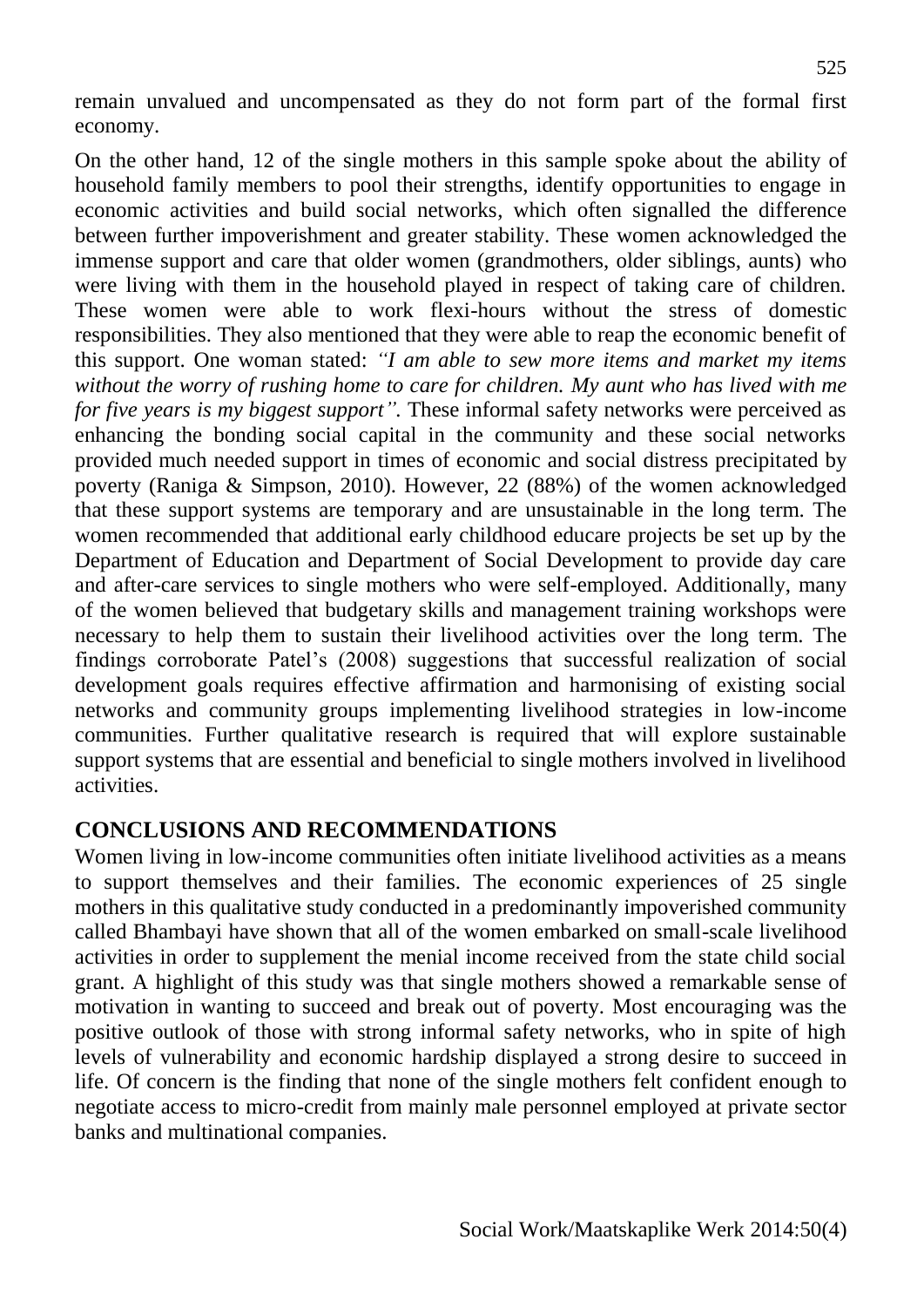remain unvalued and uncompensated as they do not form part of the formal first economy.

On the other hand, 12 of the single mothers in this sample spoke about the ability of household family members to pool their strengths, identify opportunities to engage in economic activities and build social networks, which often signalled the difference between further impoverishment and greater stability. These women acknowledged the immense support and care that older women (grandmothers, older siblings, aunts) who were living with them in the household played in respect of taking care of children. These women were able to work flexi-hours without the stress of domestic responsibilities. They also mentioned that they were able to reap the economic benefit of this support. One woman stated: *"I am able to sew more items and market my items without the worry of rushing home to care for children. My aunt who has lived with me for five years is my biggest support".* These informal safety networks were perceived as enhancing the bonding social capital in the community and these social networks provided much needed support in times of economic and social distress precipitated by poverty (Raniga & Simpson, 2010). However, 22 (88%) of the women acknowledged that these support systems are temporary and are unsustainable in the long term. The women recommended that additional early childhood educare projects be set up by the Department of Education and Department of Social Development to provide day care and after-care services to single mothers who were self-employed. Additionally, many of the women believed that budgetary skills and management training workshops were necessary to help them to sustain their livelihood activities over the long term. The findings corroborate Patel's (2008) suggestions that successful realization of social development goals requires effective affirmation and harmonising of existing social networks and community groups implementing livelihood strategies in low-income communities. Further qualitative research is required that will explore sustainable support systems that are essential and beneficial to single mothers involved in livelihood activities.

### **CONCLUSIONS AND RECOMMENDATIONS**

Women living in low-income communities often initiate livelihood activities as a means to support themselves and their families. The economic experiences of 25 single mothers in this qualitative study conducted in a predominantly impoverished community called Bhambayi have shown that all of the women embarked on small-scale livelihood activities in order to supplement the menial income received from the state child social grant. A highlight of this study was that single mothers showed a remarkable sense of motivation in wanting to succeed and break out of poverty. Most encouraging was the positive outlook of those with strong informal safety networks, who in spite of high levels of vulnerability and economic hardship displayed a strong desire to succeed in life. Of concern is the finding that none of the single mothers felt confident enough to negotiate access to micro-credit from mainly male personnel employed at private sector banks and multinational companies.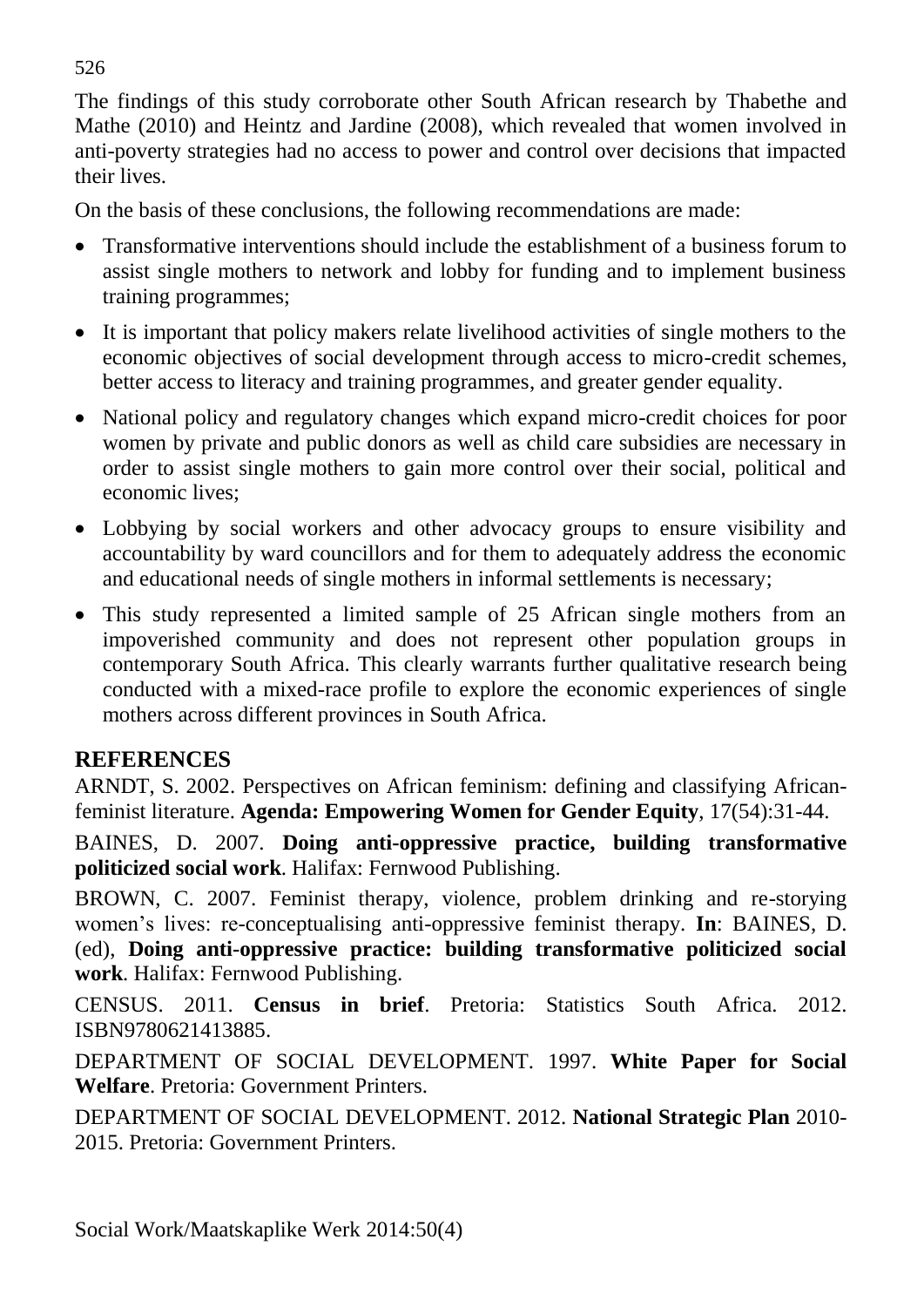The findings of this study corroborate other South African research by Thabethe and Mathe (2010) and Heintz and Jardine (2008), which revealed that women involved in anti-poverty strategies had no access to power and control over decisions that impacted their lives.

On the basis of these conclusions, the following recommendations are made:

- Transformative interventions should include the establishment of a business forum to assist single mothers to network and lobby for funding and to implement business training programmes;
- It is important that policy makers relate livelihood activities of single mothers to the economic objectives of social development through access to micro-credit schemes, better access to literacy and training programmes, and greater gender equality.
- National policy and regulatory changes which expand micro-credit choices for poor women by private and public donors as well as child care subsidies are necessary in order to assist single mothers to gain more control over their social, political and economic lives;
- Lobbying by social workers and other advocacy groups to ensure visibility and accountability by ward councillors and for them to adequately address the economic and educational needs of single mothers in informal settlements is necessary;
- This study represented a limited sample of 25 African single mothers from an impoverished community and does not represent other population groups in contemporary South Africa. This clearly warrants further qualitative research being conducted with a mixed-race profile to explore the economic experiences of single mothers across different provinces in South Africa.

# **REFERENCES**

ARNDT, S. 2002. Perspectives on African feminism: defining and classifying Africanfeminist literature. **Agenda: Empowering Women for Gender Equity**, 17(54):31-44.

BAINES, D. 2007. **Doing anti-oppressive practice, building transformative politicized social work**. Halifax: Fernwood Publishing.

BROWN, C. 2007. Feminist therapy, violence, problem drinking and re-storying women's lives: re-conceptualising anti-oppressive feminist therapy. **In**: BAINES, D. (ed), **Doing anti-oppressive practice: building transformative politicized social work**. Halifax: Fernwood Publishing.

CENSUS. 2011. **Census in brief**. Pretoria: Statistics South Africa. 2012. ISBN9780621413885.

DEPARTMENT OF SOCIAL DEVELOPMENT. 1997. **White Paper for Social Welfare**. Pretoria: Government Printers.

DEPARTMENT OF SOCIAL DEVELOPMENT. 2012. **National Strategic Plan** 2010- 2015. Pretoria: Government Printers.

526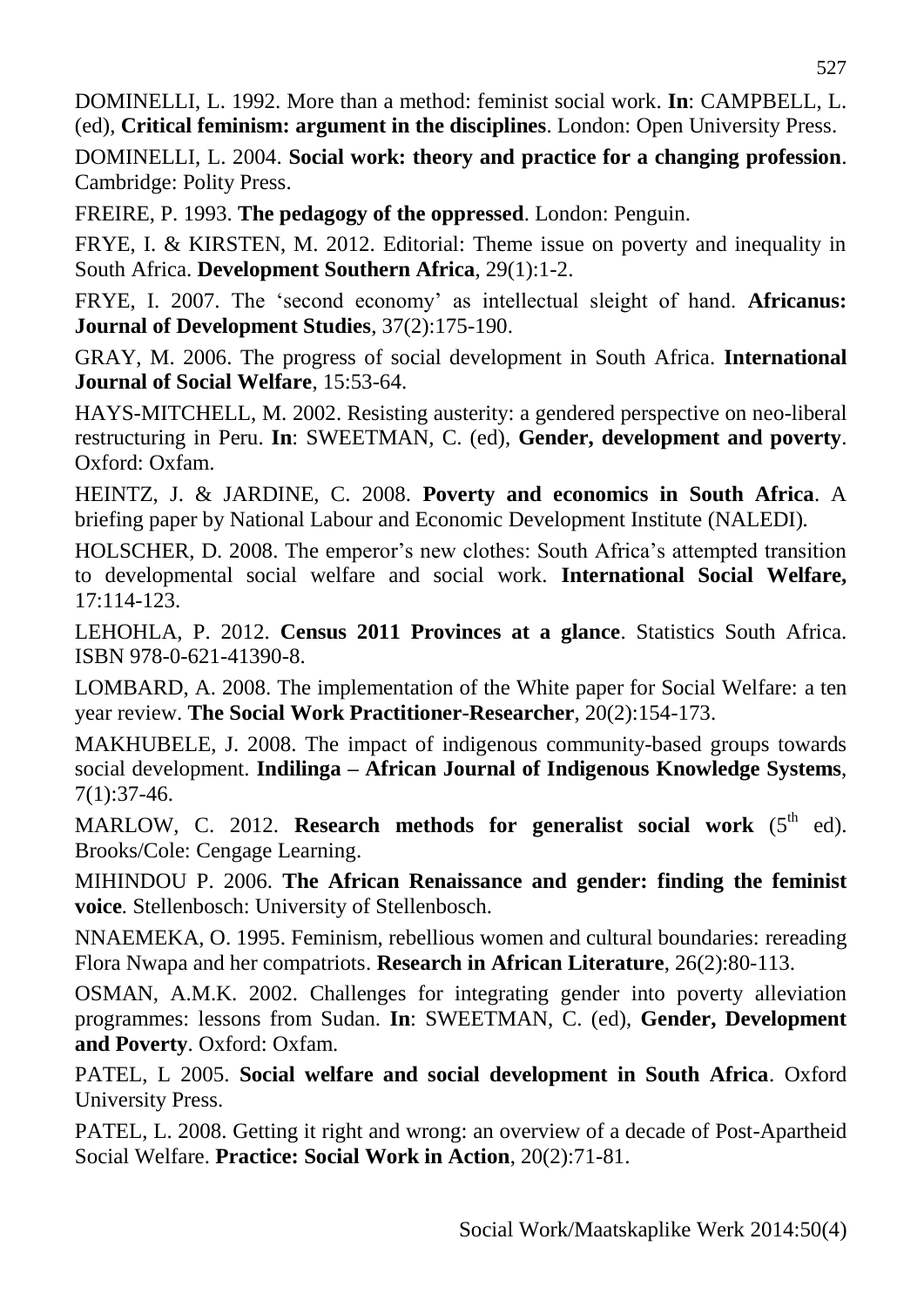DOMINELLI, L. 1992. More than a method: feminist social work. **In**: CAMPBELL, L. (ed), **Critical feminism: argument in the disciplines**. London: Open University Press.

DOMINELLI, L. 2004. **Social work: theory and practice for a changing profession**. Cambridge: Polity Press.

FREIRE, P. 1993. **The pedagogy of the oppressed**. London: Penguin.

FRYE, I. & KIRSTEN, M. 2012. Editorial: Theme issue on poverty and inequality in South Africa. **Development Southern Africa**, 29(1):1-2.

FRYE, I. 2007. The 'second economy' as intellectual sleight of hand. **Africanus: Journal of Development Studies**, 37(2):175-190.

GRAY, M. 2006. The progress of social development in South Africa. **International Journal of Social Welfare**, 15:53-64.

HAYS-MITCHELL, M. 2002. Resisting austerity: a gendered perspective on neo-liberal restructuring in Peru. **In**: SWEETMAN, C. (ed), **Gender, development and poverty**. Oxford: Oxfam.

HEINTZ, J. & JARDINE, C. 2008. **Poverty and economics in South Africa**. A briefing paper by National Labour and Economic Development Institute (NALEDI)*.*

HOLSCHER, D. 2008. The emperor's new clothes: South Africa's attempted transition to developmental social welfare and social work. **International Social Welfare,** 17:114-123.

LEHOHLA, P. 2012. **Census 2011 Provinces at a glance**. Statistics South Africa. ISBN 978-0-621-41390-8.

LOMBARD, A. 2008. The implementation of the White paper for Social Welfare: a ten year review. **The Social Work Practitioner-Researcher**, 20(2):154-173.

MAKHUBELE, J. 2008. The impact of indigenous community-based groups towards social development. **Indilinga – African Journal of Indigenous Knowledge Systems**, 7(1):37-46.

MARLOW, C. 2012. **Research methods for generalist social work** (5<sup>th</sup> ed). Brooks/Cole: Cengage Learning.

MIHINDOU P. 2006. **The African Renaissance and gender: finding the feminist voice***.* Stellenbosch: University of Stellenbosch.

NNAEMEKA, O. 1995. Feminism, rebellious women and cultural boundaries: rereading Flora Nwapa and her compatriots. **Research in African Literature**, 26(2):80-113.

OSMAN, A.M.K. 2002. Challenges for integrating gender into poverty alleviation programmes: lessons from Sudan. **In**: SWEETMAN, C. (ed), **Gender, Development and Poverty**. Oxford: Oxfam.

PATEL, L 2005. **Social welfare and social development in South Africa**. Oxford University Press.

PATEL, L. 2008. Getting it right and wrong: an overview of a decade of Post-Apartheid Social Welfare. **Practice: Social Work in Action**, 20(2):71-81.